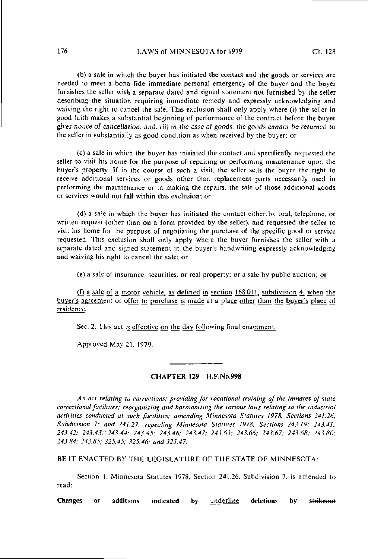## 176 LAWS of MINNESOTA for 1979 Ch. 128

(b) a sale in which the buyer has initiated the contact and the goods or services are needed to meet a bona fide immediate personal emergency of the buyer and the buyer furnishes the seller with a separate dated and signed statement not furnished by the seller describing the situation requiring immediate remedy and expressly acknowledging and waiving the right to cancel the sale. This exclusion shall only apply where (i) the seller in good failh makes a substantial beginning of performance of the contract before the buyer gives notice of cancellation, and, (ii) in the case of goods, the goods cannot be returned to the seller in substantially as good condition as when received by the buyer; or

(c) a sale in which the buyer has initiated the contact and specifically requested the seller to visit his home for the purpose of repairing or performing maintenance upon the buyer's property. If in the course of such a visit, the seller sells the buyer the right to receive additional services or goods other than replacement parts necessarily used in performing the maintenance or in making the repairs, the sale of those additional goods or services would not fall within this exclusion; or

(d) a sale in which the buyer has initiated the contact either, by oral, telephone, or written request (other lhan on a form provided by the seller), and requested the seller to visit his home for the purpose of negotiating the purchase of the specific good or service requested. This exclusion shall only apply where the buyer furnishes the seller with a separate dated and signed statement in the buyer's handwriting expressly acknowledging and waiving his right to cancel the sale; or

(e) a sale of insurance, securities, or real property; or a sale by public auction; or

(f) a sale of a motor vehicle, as defined in section  $168.011$ , subdivision 4, when the buyer's agreement or offer to purchase is made at a place other than the buyer's place of residence.

Sec. 2. This act is effective on the day following final enactment.

Approved May 21. 1979.

## CHAPTER 129—H.F.No.998

An act relating to corrections; providing for vocational training of the inmates of state correctional facilities; reorganizing and harmonizing the various laws relating to the industrial activities conducted at such facilities; amending Minnesota Statutes 1978, Sections 241.26, Subdivision 7; and 241.27; repealing Minnesota Statutes 1978, Sections 243.19; 243.41; 243.42; 243.43;'243.44; 243.45; 243.46; 243.47; 243.63; 243.66; 243.67; 243.68; 243.80; 243.84; 243.85; 325.45; 325.46; and 325.47.

BE IT ENACTED BY THE LEGISLATURE OF THE STATE OF MINNESOTA:

Section 1. Minnesota Statutes 1978, Section 241.26, Subdivision 7. is amended to read:

Changes or additions indicated by underline deletions by strikeout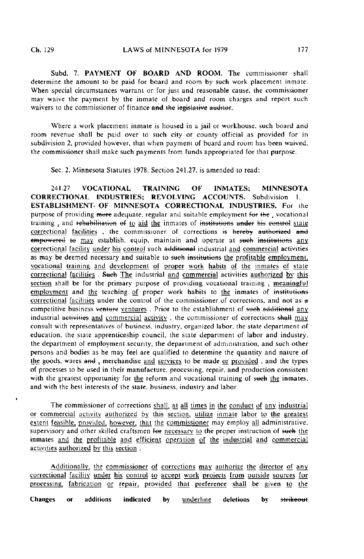$\ddot{\phantom{0}}$ 

Subd. 7. PAYMENT OF BOARD AND ROOM. The commissioner shall determine the amount to be paid for board and room by such work placement inmate. When special circumstances warrant or for just and reasonable cause, the commissioner may waive the payment by the inmate of board and room charges and report such waivers to the commissioner of finance and the legislative auditor.

Where a work placement inmate is housed in a jail or workhouse, such board and room revenue shall be paid over to such cily or county official as provided for in subdivision 2, provided however, that when payment of board and room has been waived, the commissioner shall make such payments from funds appropriated for that purpose.

Sec. 2. Minnesota Statutes 1978. Section 241.27. is amended to read:

241.27 VOCATIONAL TRAINING OF INMATES: MINNESOTA CORRECTIONAL INDUSTRIES; REVOLVING ACCOUNTS. Subdivision 1. ESTABLISHMENT- OF MINNESOTA CORRECTIONAL INDUSTRIES. For the purpose of providing more adequate, regular and suitable employment for the, vocational training, and rehabilitation of to aid the inmates of institutions under his control state correctional facilities , the commissioner of corrections is hereby authorized and empowered to may establish, equip, maintain and operate at such institutions any correctional facility under his control such additional industrial and commercial activities as may be deemed necessary and suitable to such institutions the profitable employment. vocational training and development of proper work habits of the inmates of slate correctional facilities . Such The industrial and commercial activities authorized by this section shall be for the primary purpose of providing vocational training, meaningful employment and the teaching of proper work habits to the inmates of institutions correctional facilities under the control of the commissioner of corrections, and not as  $\theta$ competitive business venture ventures. Prior to the establishment of such additional any industrial activities and commercial activity, the commissioner of corrections shall may consult with representaiives of business, industry, organized labor, the slate department of education, the state apprenticeship council, the state department of labor and industry, the department of employment security, the department of administration, and such other persons and bodies as he may feel are qualified to determine the quantity and nature of the goods, wares and, merchandise and services to be made or provided, and the types of processes to be used in their manufacture, processing, repair, and production consistent with the greatest opportunity for the reform and vocational training of such the inmates. and with the best interests of the state, business, industry and labor.

The commissioner of corrections shall, at all times in the conduct of any industrial or commercial activity authorized by this section, utilize inmate labor to the greatest extent feasible, provided, however, that the commissioner may employ all administrative, supervisory and other skilled craftsmen for necessary to the proper instruction of such the inmates and the profitable and efficient operation of the industrial and commercial activities authorized by this section .

Additionally, the commissioner of corrections may authorize the director of any correctional facility under his control to accept work projects from outside sources for processing, fabrication or repair, provided that preference shall be given to the Changes or additions indicated by underline deletions bystrikeout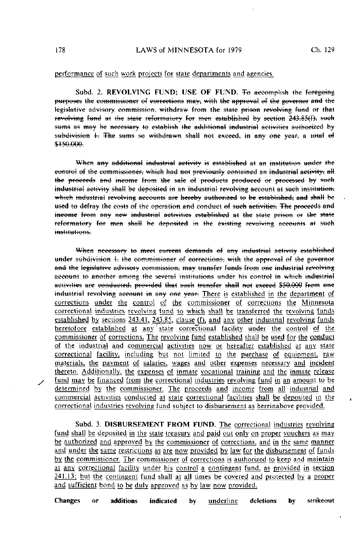## performance of such work projects for state departments and agencies.

Subd. 2. REVOLVING FUND: USE OF FUND. To accomplish the foregoing purposes the commissioner of corrections may, with the approval of the governor and the legislative advisory commission, withdraw from the state prison revolving fund or that revolving fund at the state reformatory for men established by section 243.85(f), such sums as may be necessary to establish the additional industrial activities authorized by subdivision 1. The sums so withdrawn shall not exceed, in any one year, a total of \$150,000.

When any additional industrial activity is established at an institution under the control of the commissioner, which had not previously contained an industrial activity, all the proceeds and income from the sale of products produced or processed by such industrial activity shall be deposited in an industrial revolving account at such institution. which industrial revolving accounts are hereby authorized to be established, and shall be used to defray the costs of the operation and conduct of such activities. The proceeds and income from any new industrial activities established at the state prison or the state reformatory for men shall be deposited in the existing revolving accounts at such institutions.

When necessary to meet current demands of any industrial activity established under subdivision 1, the commissioner of corrections, with the approval of the governor and the legislative advisory commission, may transfer funds from one industrial revolving account to another among the several institutions under his control in which industrial activities are conducted, provided that such transfer shall not exceed \$50,000 from one industrial revolving account in any one year. There is established in the department of corrections under the control of the commissioner of corrections the Minnesota correctional industries revolving fund to which shall be transferred the revolving funds established by sections 243.41, 243.85, clause (f), and any other industrial revolving funds heretofore established at any state correctional facility under the control of the commissioner of corrections. The revolving fund established shall be used for the conduct of the industrial and commercial activities now or hereafter established at any state correctional facility, including but not limited to the purchase of equipment, raw materials, the payment of salaries, wages and other expenses necessary and incident thereto. Additionally, the expenses of inmate vocational training and the inmate release fund may be financed from the correctional industries revolving fund in an amount to be determined by the commissioner. The proceeds and income from all industrial and commercial activities conducted at state correctional facilities shall be deposited in the correctional industries revolving fund subject to disbursement as hereinabove provided.

Subd. 3. DISBURSEMENT FROM FUND. The correctional industries revolving fund shall be deposited in the state treasury and paid out only on proper vouchers as may be authorized and approved by the commissioner of corrections, and in the same manner and under the same restrictions as are now provided by law for the disbursement of funds by the commissioner. The commissioner of corrections is authorized to keep and maintain at any correctional facility under his control a contingent fund, as provided in section 241.13; but the contingent fund shall at all times be covered and protected by a proper and sufficient bond to be duly approved as by law now provided.

Changes  $\alpha$ additions indicated deletions by strikeout by underline

178